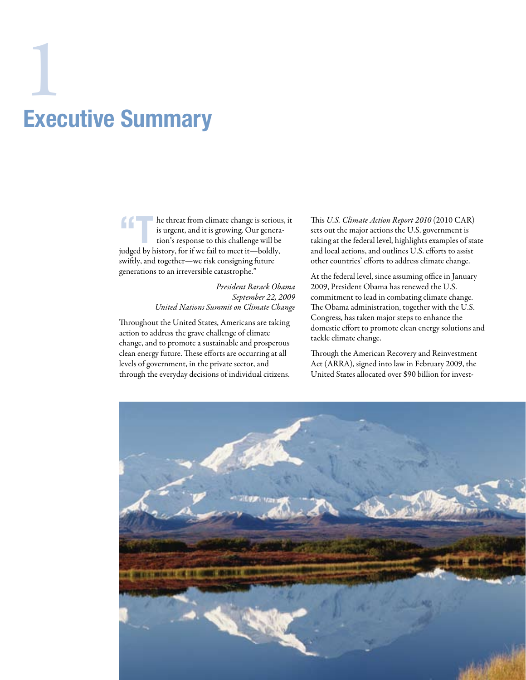# Executive Summary  $\frac{1}{1}$

T he threat from climate change is serious, it is urgent, and it is growing. Our generation's response to this challenge will be judged by history, for if we fail to meet it—boldly, swiftly, and together—we risk consigning future generations to an irreversible catastrophe."

> *President Barack Obama September 22, 2009 United Nations Summit on Climate Change*

Throughout the United States, Americans are taking action to address the grave challenge of climate change, and to promote a sustainable and prosperous clean energy future. These efforts are occurring at all levels of government, in the private sector, and through the everyday decisions of individual citizens.

This *U.S. Climate Action Report 2010* (2010 CAR) sets out the major actions the U.S. government is taking at the federal level, highlights examples of state and local actions, and outlines U.S. efforts to assist other countries' efforts to address climate change.

At the federal level, since assuming office in January 2009, President Obama has renewed the U.S. commitment to lead in combating climate change. The Obama administration, together with the U.S. Congress, has taken major steps to enhance the domestic effort to promote clean energy solutions and tackle climate change.

Through the American Recovery and Reinvestment Act (ARRA), signed into law in February 2009, the United States allocated over \$90 billion for invest-

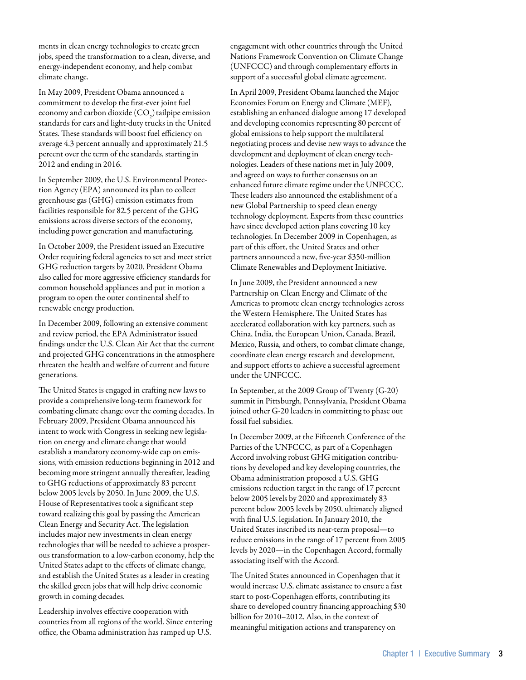ments in clean energy technologies to create green jobs, speed the transformation to a clean, diverse, and energy-independent economy, and help combat climate change.

In May 2009, President Obama announced a commitment to develop the first-ever joint fuel economy and carbon dioxide  $({\rm CO}_2)$  tailpipe emission standards for cars and light-duty trucks in the United States. These standards will boost fuel efficiency on average 4.3 percent annually and approximately 21.5 percent over the term of the standards, starting in 2012 and ending in 2016.

In September 2009, the U.S. Environmental Protection Agency (EPA) announced its plan to collect greenhouse gas (GHG) emission estimates from facilities responsible for 82.5 percent of the GHG emissions across diverse sectors of the economy, including power generation and manufacturing.

In October 2009, the President issued an Executive Order requiring federal agencies to set and meet strict GHG reduction targets by 2020. President Obama also called for more aggressive efficiency standards for common household appliances and put in motion a program to open the outer continental shelf to renewable energy production.

In December 2009, following an extensive comment and review period, the EPA Administrator issued findings under the U.S. Clean Air Act that the current and projected GHG concentrations in the atmosphere threaten the health and welfare of current and future generations.

The United States is engaged in crafting new laws to provide a comprehensive long-term framework for combating climate change over the coming decades. In February 2009, President Obama announced his intent to work with Congress in seeking new legislation on energy and climate change that would establish a mandatory economy-wide cap on emissions, with emission reductions beginning in 2012 and becoming more stringent annually thereafter, leading to GHG reductions of approximately 83 percent below 2005 levels by 2050. In June 2009, the U.S. House of Representatives took a significant step toward realizing this goal by passing the American Clean Energy and Security Act. The legislation includes major new investments in clean energy technologies that will be needed to achieve a prosperous transformation to a low-carbon economy, help the United States adapt to the effects of climate change, and establish the United States as a leader in creating the skilled green jobs that will help drive economic growth in coming decades.

Leadership involves effective cooperation with countries from all regions of the world. Since entering office, the Obama administration has ramped up U.S.

engagement with other countries through the United Nations Framework Convention on Climate Change (UNFCCC) and through complementary efforts in support of a successful global climate agreement.

In April 2009, President Obama launched the Major Economies Forum on Energy and Climate (MEF), establishing an enhanced dialogue among 17 developed and developing economies representing 80 percent of global emissions to help support the multilateral negotiating process and devise new ways to advance the development and deployment of clean energy technologies. Leaders of these nations met in July 2009, and agreed on ways to further consensus on an enhanced future climate regime under the UNFCCC. These leaders also announced the establishment of a new Global Partnership to speed clean energy technology deployment. Experts from these countries have since developed action plans covering 10 key technologies. In December 2009 in Copenhagen, as part of this effort, the United States and other partners announced a new, five-year \$350-million Climate Renewables and Deployment Initiative.

In June 2009, the President announced a new Partnership on Clean Energy and Climate of the Americas to promote clean energy technologies across the Western Hemisphere. The United States has accelerated collaboration with key partners, such as China, India, the European Union, Canada, Brazil, Mexico, Russia, and others, to combat climate change, coordinate clean energy research and development, and support efforts to achieve a successful agreement under the UNFCCC.

In September, at the 2009 Group of Twenty (G-20) summit in Pittsburgh, Pennsylvania, President Obama joined other G-20 leaders in committing to phase out fossil fuel subsidies.

In December 2009, at the Fifteenth Conference of the Parties of the UNFCCC, as part of a Copenhagen Accord involving robust GHG mitigation contributions by developed and key developing countries, the Obama administration proposed a U.S. GHG emissions reduction target in the range of 17 percent below 2005 levels by 2020 and approximately 83 percent below 2005 levels by 2050, ultimately aligned with final U.S. legislation. In January 2010, the United States inscribed its near-term proposal—to reduce emissions in the range of 17 percent from 2005 levels by 2020—in the Copenhagen Accord, formally associating itself with the Accord.

The United States announced in Copenhagen that it would increase U.S. climate assistance to ensure a fast start to post-Copenhagen efforts, contributing its share to developed country financing approaching \$30 billion for 2010–2012. Also, in the context of meaningful mitigation actions and transparency on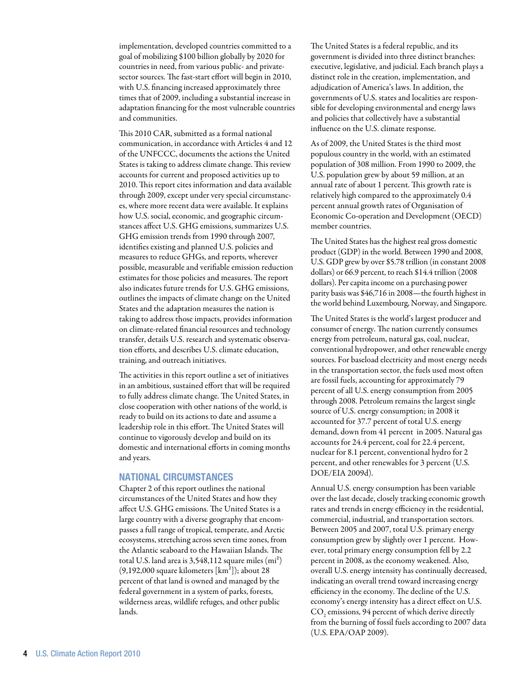implementation, developed countries committed to a goal of mobilizing \$100 billion globally by 2020 for countries in need, from various public- and privatesector sources. The fast-start effort will begin in 2010, with U.S. financing increased approximately three times that of 2009, including a substantial increase in adaptation financing for the most vulnerable countries and communities.

This 2010 CAR, submitted as a formal national communication, in accordance with Articles 4 and 12 of the UNFCCC, documents the actions the United States is taking to address climate change. This review accounts for current and proposed activities up to 2010. This report cites information and data available through 2009, except under very special circumstances, where more recent data were available. It explains how U.S. social, economic, and geographic circumstances affect U.S. GHG emissions, summarizes U.S. GHG emission trends from 1990 through 2007, identifies existing and planned U.S. policies and measures to reduce GHGs, and reports, wherever possible, measurable and verifiable emission reduction estimates for those policies and measures. The report also indicates future trends for U.S. GHG emissions, outlines the impacts of climate change on the United States and the adaptation measures the nation is taking to address those impacts, provides information on climate-related financial resources and technology transfer, details U.S. research and systematic observation efforts, and describes U.S. climate education, training, and outreach initiatives.

The activities in this report outline a set of initiatives in an ambitious, sustained effort that will be required to fully address climate change. The United States, in close cooperation with other nations of the world, is ready to build on its actions to date and assume a leadership role in this effort. The United States will continue to vigorously develop and build on its domestic and international efforts in coming months and years.

### National Circumstances

Chapter 2 of this report outlines the national circumstances of the United States and how they affect U.S. GHG emissions. The United States is a large country with a diverse geography that encompasses a full range of tropical, temperate, and Arctic ecosystems, stretching across seven time zones, from the Atlantic seaboard to the Hawaiian Islands. The total U.S. land area is  $3,548,112$  square miles  $(mi^2)$  $(9,192,000$  square kilometers  $[km^2]$ ; about 28 percent of that land is owned and managed by the federal government in a system of parks, forests, wilderness areas, wildlife refuges, and other public lands.

The United States is a federal republic, and its government is divided into three distinct branches: executive, legislative, and judicial. Each branch plays a distinct role in the creation, implementation, and adjudication of America's laws. In addition, the governments of U.S. states and localities are responsible for developing environmental and energy laws and policies that collectively have a substantial influence on the U.S. climate response.

As of 2009, the United States is the third most populous country in the world, with an estimated population of 308 million. From 1990 to 2009, the U.S. population grew by about 59 million, at an annual rate of about 1 percent. This growth rate is relatively high compared to the approximately 0.4 percent annual growth rates of Organisation of Economic Co-operation and Development (OECD) member countries.

The United States has the highest real gross domestic product (GDP) in the world. Between 1990 and 2008, U.S. GDP grew by over \$5.78 trillion (in constant 2008 dollars) or 66.9 percent, to reach \$14.4 trillion (2008 dollars). Per capita income on a purchasing power parity basis was \$46,716 in 2008—the fourth highest in the world behind Luxembourg, Norway, and Singapore.

The United States is the world's largest producer and consumer of energy. The nation currently consumes energy from petroleum, natural gas, coal, nuclear, conventional hydropower, and other renewable energy sources. For baseload electricity and most energy needs in the transportation sector, the fuels used most often are fossil fuels, accounting for approximately 79 percent of all U.S. energy consumption from 2005 through 2008. Petroleum remains the largest single source of U.S. energy consumption; in 2008 it accounted for 37.7 percent of total U.S. energy demand, down from 41 percent in 2005. Natural gas accounts for 24.4 percent, coal for 22.4 percent, nuclear for 8.1 percent, conventional hydro for 2 percent, and other renewables for 3 percent (U.S. DOE/EIA 2009d).

Annual U.S. energy consumption has been variable over the last decade, closely tracking economic growth rates and trends in energy efficiency in the residential, commercial, industrial, and transportation sectors. Between 2005 and 2007, total U.S. primary energy consumption grew by slightly over 1 percent. However, total primary energy consumption fell by 2.2 percent in 2008, as the economy weakened. Also, overall U.S. energy intensity has continually decreased, indicating an overall trend toward increasing energy efficiency in the economy. The decline of the U.S. economy's energy intensity has a direct effect on U.S.  $\mathrm{CO}_2$  emissions, 94 percent of which derive directly from the burning of fossil fuels according to 2007 data (U.S. EPA/OAP 2009).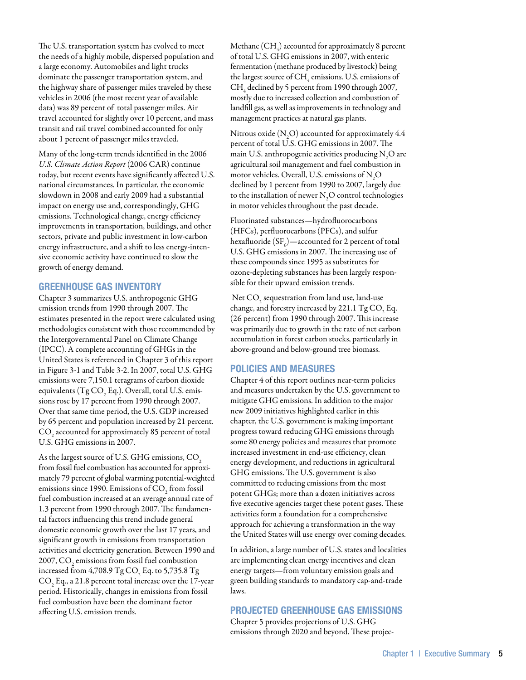The U.S. transportation system has evolved to meet the needs of a highly mobile, dispersed population and a large economy. Automobiles and light trucks dominate the passenger transportation system, and the highway share of passenger miles traveled by these vehicles in 2006 (the most recent year of available data) was 89 percent of total passenger miles. Air travel accounted for slightly over 10 percent, and mass transit and rail travel combined accounted for only about 1 percent of passenger miles traveled.

Many of the long-term trends identified in the 2006 *U.S. Climate Action Report* (2006 CAR) continue today, but recent events have significantly affected U.S. national circumstances. In particular, the economic slowdown in 2008 and early 2009 had a substantial impact on energy use and, correspondingly, GHG emissions. Technological change, energy efficiency improvements in transportation, buildings, and other sectors, private and public investment in low-carbon energy infrastructure, and a shift to less energy-intensive economic activity have continued to slow the growth of energy demand.

### Greenhouse Gas Inventory

Chapter 3 summarizes U.S. anthropogenic GHG emission trends from 1990 through 2007. The estimates presented in the report were calculated using methodologies consistent with those recommended by the Intergovernmental Panel on Climate Change (IPCC). A complete accounting of GHGs in the United States is referenced in Chapter 3 of this report in Figure 3-1 and Table 3-2. In 2007, total U.S. GHG emissions were 7,150.1 teragrams of carbon dioxide equivalents (Tg CO<sub>2</sub> Eq.). Overall, total U.S. emissions rose by 17 percent from 1990 through 2007. Over that same time period, the U.S. GDP increased by 65 percent and population increased by 21 percent.  $\mathrm{CO}_\mathrm{2}$  accounted for approximately 85 percent of total U.S. GHG emissions in 2007.

As the largest source of U.S. GHG emissions, CO<sub>2</sub> from fossil fuel combustion has accounted for approximately 79 percent of global warming potential-weighted emissions since 1990. Emissions of  $\mathrm{CO}_2^{}$  from fossil fuel combustion increased at an average annual rate of 1.3 percent from 1990 through 2007. The fundamental factors influencing this trend include general domestic economic growth over the last 17 years, and significant growth in emissions from transportation activities and electricity generation. Between 1990 and 2007,  $\mathrm{CO}_\mathrm{2}$  emissions from fossil fuel combustion increased from 4,708.9 Tg CO<sub>2</sub> Eq. to 5,735.8 Tg  $\mathrm{CO}_2$  Eq., a 21.8 percent total increase over the 17-year period. Historically, changes in emissions from fossil fuel combustion have been the dominant factor affecting U.S. emission trends.

Methane (CH<sub>4</sub>) accounted for approximately 8 percent of total U.S. GHG emissions in 2007, with enteric fermentation (methane produced by livestock) being the largest source of CH<sub>4</sub> emissions. U.S. emissions of  $\text{CH}_4^{}$  declined by 5 percent from 1990 through 2007, mostly due to increased collection and combustion of landfill gas, as well as improvements in technology and management practices at natural gas plants.

Nitrous oxide (N<sub>2</sub>O) accounted for approximately  $4.4$ percent of total U.S. GHG emissions in 2007. The main U.S. anthropogenic activities producing  $\mathrm{N}_2\mathrm{O}$  are agricultural soil management and fuel combustion in motor vehicles. Overall, U.S. emissions of  $\mathrm{N}_2\mathrm{O}$ declined by 1 percent from 1990 to 2007, largely due to the installation of newer  $\mathrm{N}_2\mathrm{O}$  control technologies in motor vehicles throughout the past decade.

Fluorinated substances—hydrofluorocarbons (HFCs), perfluorocarbons (PFCs), and sulfur hexafluoride (SF $_{6}$ )—accounted for 2 percent of total U.S. GHG emissions in 2007. The increasing use of these compounds since 1995 as substitutes for ozone-depleting substances has been largely responsible for their upward emission trends.

Net  $\mathrm{CO}_2$  sequestration from land use, land-use change, and forestry increased by 221.1  $TgCO<sub>2</sub>Eq.$ (26 percent) from 1990 through 2007. This increase was primarily due to growth in the rate of net carbon accumulation in forest carbon stocks, particularly in above-ground and below-ground tree biomass.

### Policies and Measures

Chapter 4 of this report outlines near-term policies and measures undertaken by the U.S. government to mitigate GHG emissions. In addition to the major new 2009 initiatives highlighted earlier in this chapter, the U.S. government is making important progress toward reducing GHG emissions through some 80 energy policies and measures that promote increased investment in end-use efficiency, clean energy development, and reductions in agricultural GHG emissions. The U.S. government is also committed to reducing emissions from the most potent GHGs; more than a dozen initiatives across five executive agencies target these potent gases. These activities form a foundation for a comprehensive approach for achieving a transformation in the way the United States will use energy over coming decades.

In addition, a large number of U.S. states and localities are implementing clean energy incentives and clean energy targets—from voluntary emission goals and green building standards to mandatory cap-and-trade laws.

### Projected Greenhouse Gas Emissions

Chapter 5 provides projections of U.S. GHG emissions through 2020 and beyond. These projec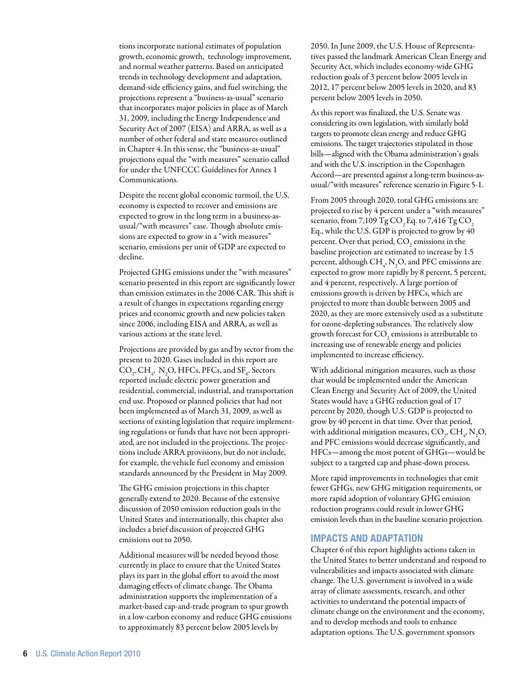tions incorporate national estimates of population growth, economic growth, technology improvement, and normal weather patterns. Based on anticipated trends in technology development and adaptation, demand-side efficiency gains, and fuel switching, the projections represent a "business-as-usual" scenario that incorporates major policies in place as of March 31, 2009, including the Energy Independence and Security Act of 2007 (EISA) and ARRA, as well as a number of other federal and state measures outlined in Chapter 4. In this sense, the "business-as-usual" projections equal the "with measures" scenario called for under the UNFCCC Guidelines for Annex 1 Communications.

Despite the recent global economic turmoil, the U.S. economy is expected to recover and emissions are expected to grow in the long term in a business-asusual/"with measures" case. Though absolute emissions are expected to grow in a "with measures" scenario, emissions per unit of GDP are expected to decline.

Projected GHG emissions under the "with measures" scenario presented in this report are significantly lower than emission estimates in the 2006 CAR. This shift is a result of changes in expectations regarding energy prices and economic growth and new policies taken since 2006, including EISA and ARRA, as well as various actions at the state level.

Projections are provided by gas and by sector from the present to 2020. Gases included in this report are  $\text{CO}_2$ ,  $\text{CH}_4$ , N<sub>2</sub>O, HFCs, PFCs, and SF<sub>6</sub>. Sectors reported include electric power generation and residential, commercial, industrial, and transportation end use. Proposed or planned policies that had not been implemented as of March 31, 2009, as well as sections of existing legislation that require implementing regulations or funds that have not been appropriated, are not included in the projections. The projections include ARRA provisions, but do not include, for example, the vehicle fuel economy and emission standards announced by the President in May 2009.

The GHG emission projections in this chapter generally extend to 2020. Because of the extensive discussion of 2050 emission reduction goals in the United States and internationally, this chapter also includes a brief discussion of projected GHG emissions out to 2050.

Additional measures will be needed beyond those currently in place to ensure that the United States plays its part in the global effort to avoid the most damaging effects of climate change. The Obama administration supports the implementation of a market-based cap-and-trade program to spur growth in a low-carbon economy and reduce GHG emissions to approximately 83 percent below 2005 levels by

2050. In June 2009, the U.S. House of Representatives passed the landmark American Clean Energy and Security Act, which includes economy-wide GHG reduction goals of 3 percent below 2005 levels in 2012, 17 percent below 2005 levels in 2020, and 83 percent below 2005 levels in 2050.

As this report was finalized, the U.S. Senate was considering its own legislation, with similarly bold targets to promote clean energy and reduce GHG emissions. The target trajectories stipulated in those bills—aligned with the Obama administration's goals and with the U.S. inscription in the Copenhagen Accord—are presented against a long-term business-asusual/"with measures" reference scenario in Figure 5-1.

From 2005 through 2020, total GHG emissions are projected to rise by 4 percent under a "with measures" scenario, from  $7,109$  Tg CO<sub>2</sub>Eq. to  $7,416$  Tg CO<sub>2</sub> Eq., while the U.S. GDP is projected to grow by 40 percent. Over that period,  $\mathrm{CO}_2$  emissions in the baseline projection are estimated to increase by 1.5 percent, although  $\text{CH}_4$ ,  $\text{N}_2\text{O}$ , and PFC emissions are expected to grow more rapidly by 8 percent, 5 percent, and 4 percent, respectively. A large portion of emissions growth is driven by HFCs, which are projected to more than double between 2005 and 2020, as they are more extensively used as a substitute for ozone-depleting substances. The relatively slow growth forecast for  $\mathrm{CO}_2$  emissions is attributable to increasing use of renewable energy and policies implemented to increase efficiency.

With additional mitigation measures, such as those that would be implemented under the American Clean Energy and Security Act of 2009, the United States would have a GHG reduction goal of 17 percent by 2020, though U.S. GDP is projected to grow by 40 percent in that time. Over that period, with additional mitigation measures,  $\mathrm{CO}_2^{\vphantom{\dagger}}, \mathrm{CH}_4^{\vphantom{\dagger}}, \mathrm{N}_2\mathrm{O},$ and PFC emissions would decrease significantly, and HFCs—among the most potent of GHGs—would be subject to a targeted cap and phase-down process.

More rapid improvements in technologies that emit fewer GHGs, new GHG mitigation requirements, or more rapid adoption of voluntary GHG emission reduction programs could result in lower GHG emission levels than in the baseline scenario projection.

### Impacts and Adaptation

Chapter 6 of this report highlights actions taken in the United States to better understand and respond to vulnerabilities and impacts associated with climate change. The U.S. government is involved in a wide array of climate assessments, research, and other activities to understand the potential impacts of climate change on the environment and the economy, and to develop methods and tools to enhance adaptation options. The U.S. government sponsors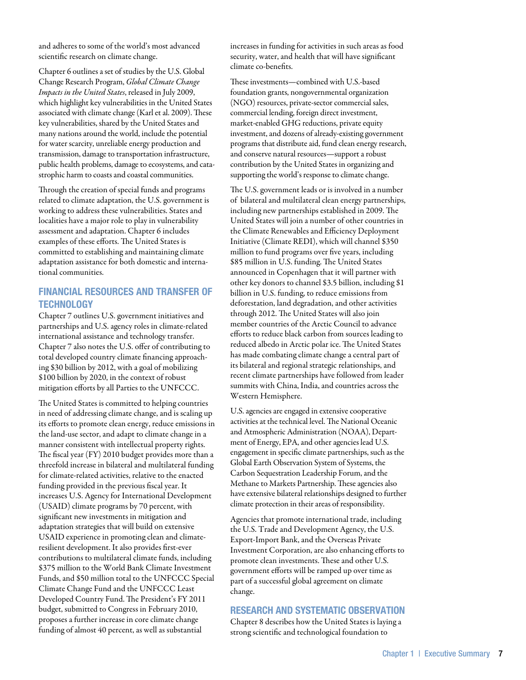and adheres to some of the world's most advanced scientific research on climate change.

Chapter 6 outlines a set of studies by the U.S. Global Change Research Program, *Global Climate Change Impacts in the United States*, released in July 2009, which highlight key vulnerabilities in the United States associated with climate change (Karl et al. 2009). These key vulnerabilities, shared by the United States and many nations around the world, include the potential for water scarcity, unreliable energy production and transmission, damage to transportation infrastructure, public health problems, damage to ecosystems, and catastrophic harm to coasts and coastal communities.

Through the creation of special funds and programs related to climate adaptation, the U.S. government is working to address these vulnerabilities. States and localities have a major role to play in vulnerability assessment and adaptation. Chapter 6 includes examples of these efforts. The United States is committed to establishing and maintaining climate adaptation assistance for both domestic and international communities.

# Financial Resources and Transfer of **TECHNOLOGY**

Chapter 7 outlines U.S. government initiatives and partnerships and U.S. agency roles in climate-related international assistance and technology transfer. Chapter 7 also notes the U.S. offer of contributing to total developed country climate financing approaching \$30 billion by 2012, with a goal of mobilizing \$100 billion by 2020, in the context of robust mitigation efforts by all Parties to the UNFCCC.

The United States is committed to helping countries in need of addressing climate change, and is scaling up its efforts to promote clean energy, reduce emissions in the land-use sector, and adapt to climate change in a manner consistent with intellectual property rights. The fiscal year (FY) 2010 budget provides more than a threefold increase in bilateral and multilateral funding for climate-related activities, relative to the enacted funding provided in the previous fiscal year. It increases U.S. Agency for International Development (USAID) climate programs by 70 percent, with significant new investments in mitigation and adaptation strategies that will build on extensive USAID experience in promoting clean and climateresilient development. It also provides first-ever contributions to multilateral climate funds, including \$375 million to the World Bank Climate Investment Funds, and \$50 million total to the UNFCCC Special Climate Change Fund and the UNFCCC Least Developed Country Fund. The President's FY 2011 budget, submitted to Congress in February 2010, proposes a further increase in core climate change funding of almost 40 percent, as well as substantial

increases in funding for activities in such areas as food security, water, and health that will have significant climate co-benefits.

These investments—combined with U.S.-based foundation grants, nongovernmental organization (NGO) resources, private-sector commercial sales, commercial lending, foreign direct investment, market-enabled GHG reductions, private equity investment, and dozens of already-existing government programs that distribute aid, fund clean energy research, and conserve natural resources—support a robust contribution by the United States in organizing and supporting the world's response to climate change.

The U.S. government leads or is involved in a number of bilateral and multilateral clean energy partnerships, including new partnerships established in 2009. The United States will join a number of other countries in the Climate Renewables and Efficiency Deployment Initiative (Climate REDI), which will channel \$350 million to fund programs over five years, including \$85 million in U.S. funding. The United States announced in Copenhagen that it will partner with other key donors to channel \$3.5 billion, including \$1 billion in U.S. funding, to reduce emissions from deforestation, land degradation, and other activities through 2012. The United States will also join member countries of the Arctic Council to advance efforts to reduce black carbon from sources leading to reduced albedo in Arctic polar ice. The United States has made combating climate change a central part of its bilateral and regional strategic relationships, and recent climate partnerships have followed from leader summits with China, India, and countries across the Western Hemisphere.

U.S. agencies are engaged in extensive cooperative activities at the technical level. The National Oceanic and Atmospheric Administration (NOAA), Department of Energy, EPA, and other agencies lead U.S. engagement in specific climate partnerships, such as the Global Earth Observation System of Systems, the Carbon Sequestration Leadership Forum, and the Methane to Markets Partnership. These agencies also have extensive bilateral relationships designed to further climate protection in their areas of responsibility.

Agencies that promote international trade, including the U.S. Trade and Development Agency, the U.S. Export-Import Bank, and the Overseas Private Investment Corporation, are also enhancing efforts to promote clean investments. These and other U.S. government efforts will be ramped up over time as part of a successful global agreement on climate change.

## Research and systematic Observation

Chapter 8 describes how the United States is laying a strong scientific and technological foundation to